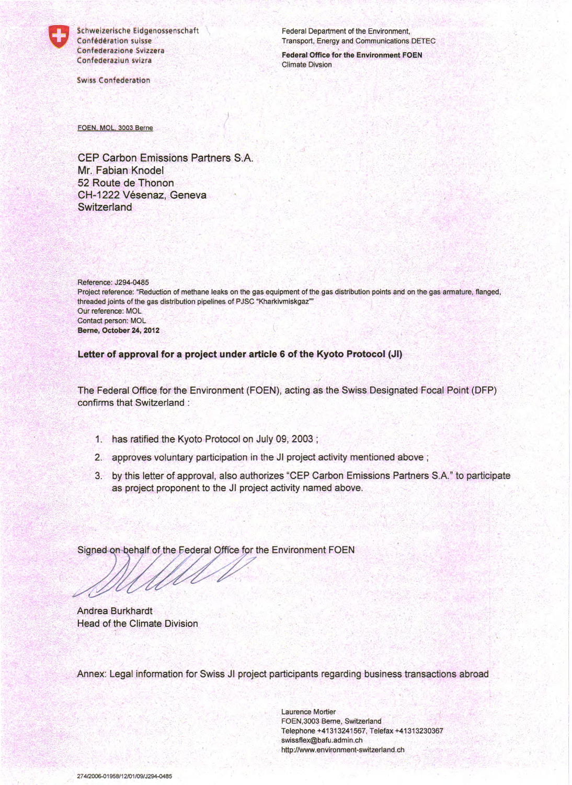

Schweizerische Eidgenossenschaft Confédération suisse Confederazione Svizzera Confederaziun svizra

**Swiss Confederation** 

Federal Department of the Environment, Transport, Energy and Communications DETEC

**Federal Office for the Environment FOEN Climate Divsion** 

FOEN, MOL, 3003 Berne

**CEP Carbon Emissions Partners S.A.** Mr. Fabian Knodel 52 Route de Thonon CH-1222 Vésenaz, Geneva Switzerland

Reference: J294-0485 Project reference: "Reduction of methane leaks on the gas equipment of the gas distribution points and on the gas armature, flanged, threaded joints of the gas distribution pipelines of PJSC "Kharkivmiskgaz"" Our reference: MOL Contact person: MOL Berne, October 24, 2012

Letter of approval for a project under article 6 of the Kyoto Protocol (JI)

The Federal Office for the Environment (FOEN), acting as the Swiss Designated Focal Point (DFP) confirms that Switzerland:

- 1. has ratified the Kyoto Protocol on July 09, 2003;
- 2. approves voluntary participation in the JI project activity mentioned above;
- 3. by this letter of approval, also authorizes "CEP Carbon Emissions Partners S.A." to participate as project proponent to the JI project activity named above.

Signed on behalf of the Federal Office for the Environment FOEN

Andrea Burkhardt Head of the Climate Division

Annex: Legal information for Swiss JI project participants regarding business transactions abroad

**Laurence Mortier** FOEN, 3003 Berne, Switzerland Telephone +41313241567, Telefax +41313230367 swissflex@bafu.admin.ch http://www.environment-switzerland.ch